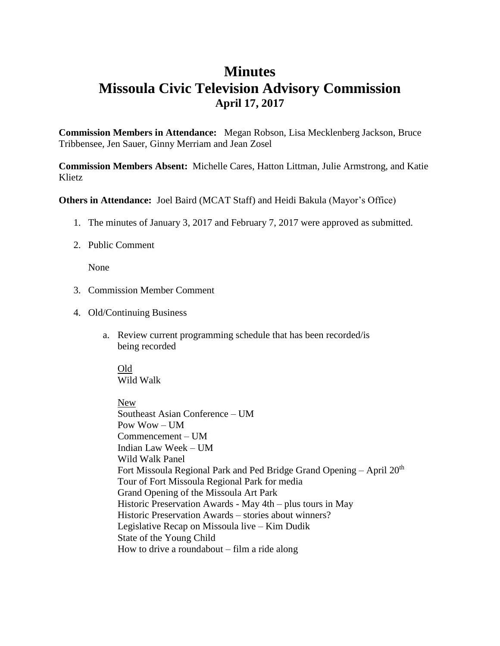## **Minutes Missoula Civic Television Advisory Commission April 17, 2017**

**Commission Members in Attendance:** Megan Robson, Lisa Mecklenberg Jackson, Bruce Tribbensee, Jen Sauer, Ginny Merriam and Jean Zosel

**Commission Members Absent:** Michelle Cares, Hatton Littman, Julie Armstrong, and Katie Klietz

**Others in Attendance:** Joel Baird (MCAT Staff) and Heidi Bakula (Mayor's Office)

- 1. The minutes of January 3, 2017 and February 7, 2017 were approved as submitted.
- 2. Public Comment

None

- 3. Commission Member Comment
- 4. Old/Continuing Business
	- a. Review current programming schedule that has been recorded/is being recorded

## Old

Wild Walk

New Southeast Asian Conference – UM Pow  $Wow - I$  IM Commencement – UM Indian Law Week – UM Wild Walk Panel Fort Missoula Regional Park and Ped Bridge Grand Opening – April  $20<sup>th</sup>$ Tour of Fort Missoula Regional Park for media Grand Opening of the Missoula Art Park Historic Preservation Awards - May 4th – plus tours in May Historic Preservation Awards – stories about winners? Legislative Recap on Missoula live – Kim Dudik State of the Young Child How to drive a roundabout – film a ride along